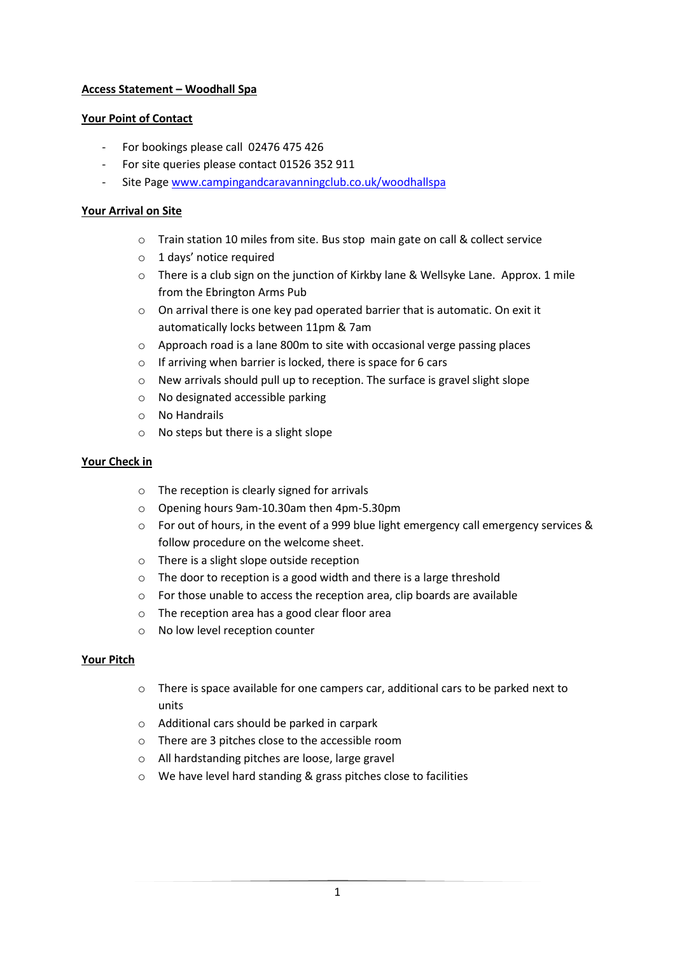# **Access Statement – Woodhall Spa**

## **Your Point of Contact**

- For bookings please call 02476 475 426
- For site queries please contact 01526 352 911
- Site Page [www.campingandcaravanningclub.co.uk/woodhallspa](http://www.campingandcaravanningclub.co.uk/woodhallspa)

## **Your Arrival on Site**

- o Train station 10 miles from site. Bus stop main gate on call & collect service
- o 1 days' notice required
- $\circ$  There is a club sign on the junction of Kirkby lane & Wellsyke Lane. Approx. 1 mile from the Ebrington Arms Pub
- o On arrival there is one key pad operated barrier that is automatic. On exit it automatically locks between 11pm & 7am
- o Approach road is a lane 800m to site with occasional verge passing places
- o If arriving when barrier is locked, there is space for 6 cars
- o New arrivals should pull up to reception. The surface is gravel slight slope
- o No designated accessible parking
- o No Handrails
- o No steps but there is a slight slope

### **Your Check in**

- o The reception is clearly signed for arrivals
- o Opening hours 9am-10.30am then 4pm-5.30pm
- o For out of hours, in the event of a 999 blue light emergency call emergency services & follow procedure on the welcome sheet.
- o There is a slight slope outside reception
- o The door to reception is a good width and there is a large threshold
- o For those unable to access the reception area, clip boards are available
- o The reception area has a good clear floor area
- o No low level reception counter

### **Your Pitch**

- o There is space available for one campers car, additional cars to be parked next to units
- o Additional cars should be parked in carpark
- o There are 3 pitches close to the accessible room
- o All hardstanding pitches are loose, large gravel
- o We have level hard standing & grass pitches close to facilities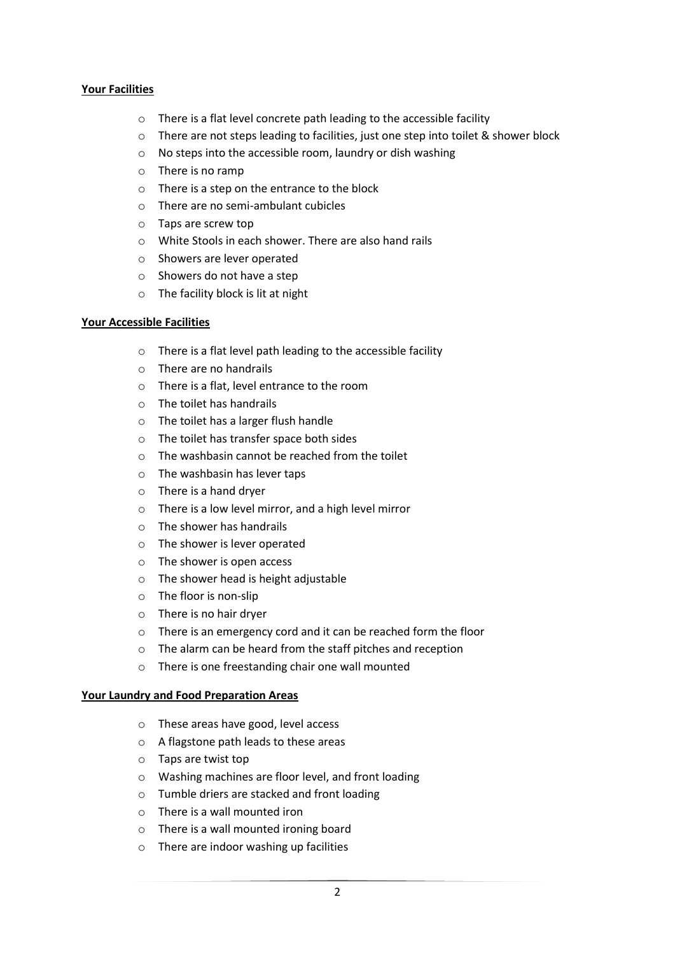#### **Your Facilities**

- o There is a flat level concrete path leading to the accessible facility
- o There are not steps leading to facilities, just one step into toilet & shower block
- o No steps into the accessible room, laundry or dish washing
- o There is no ramp
- o There is a step on the entrance to the block
- o There are no semi-ambulant cubicles
- o Taps are screw top
- o White Stools in each shower. There are also hand rails
- o Showers are lever operated
- o Showers do not have a step
- o The facility block is lit at night

#### **Your Accessible Facilities**

- o There is a flat level path leading to the accessible facility
- o There are no handrails
- o There is a flat, level entrance to the room
- o The toilet has handrails
- o The toilet has a larger flush handle
- o The toilet has transfer space both sides
- $\circ$  The washbasin cannot be reached from the toilet
- o The washbasin has lever taps
- o There is a hand dryer
- o There is a low level mirror, and a high level mirror
- o The shower has handrails
- o The shower is lever operated
- o The shower is open access
- o The shower head is height adjustable
- o The floor is non-slip
- o There is no hair dryer
- o There is an emergency cord and it can be reached form the floor
- o The alarm can be heard from the staff pitches and reception
- o There is one freestanding chair one wall mounted

#### **Your Laundry and Food Preparation Areas**

- o These areas have good, level access
- o A flagstone path leads to these areas
- o Taps are twist top
- o Washing machines are floor level, and front loading
- o Tumble driers are stacked and front loading
- o There is a wall mounted iron
- o There is a wall mounted ironing board
- o There are indoor washing up facilities